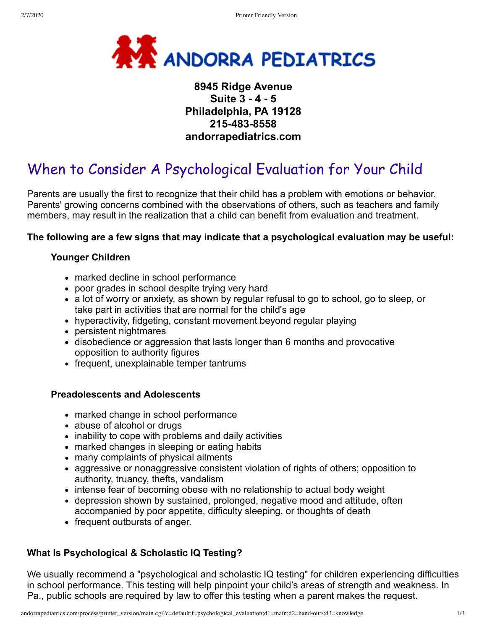

# **8945 Ridge Avenue Suite 3 - 4 - 5 Philadelphia, PA 19128 215-483-8558 andorrapediatrics.com**

# When to Consider A Psychological Evaluation for Your Child

Parents are usually the first to recognize that their child has a problem with emotions or behavior. Parents' growing concerns combined with the observations of others, such as teachers and family members, may result in the realization that a child can benefit from evaluation and treatment.

#### **The following are a few signs that may indicate that a psychological evaluation may be useful:**

### **Younger Children**

- marked decline in school performance
- poor grades in school despite trying very hard
- a lot of worry or anxiety, as shown by regular refusal to go to school, go to sleep, or take part in activities that are normal for the child's age
- hyperactivity, fidgeting, constant movement beyond regular playing
- persistent nightmares
- disobedience or aggression that lasts longer than 6 months and provocative opposition to authority figures
- frequent, unexplainable temper tantrums

#### **Preadolescents and Adolescents**

- marked change in school performance
- abuse of alcohol or drugs
- inability to cope with problems and daily activities
- marked changes in sleeping or eating habits
- many complaints of physical ailments
- aggressive or nonaggressive consistent violation of rights of others; opposition to authority, truancy, thefts, vandalism
- intense fear of becoming obese with no relationship to actual body weight
- depression shown by sustained, prolonged, negative mood and attitude, often accompanied by poor appetite, difficulty sleeping, or thoughts of death
- frequent outbursts of anger.

## **What Is Psychological & Scholastic IQ Testing?**

We usually recommend a "psychological and scholastic IQ testing" for children experiencing difficulties in school performance. This testing will help pinpoint your child's areas of strength and weakness. In Pa., public schools are required by law to offer this testing when a parent makes the request.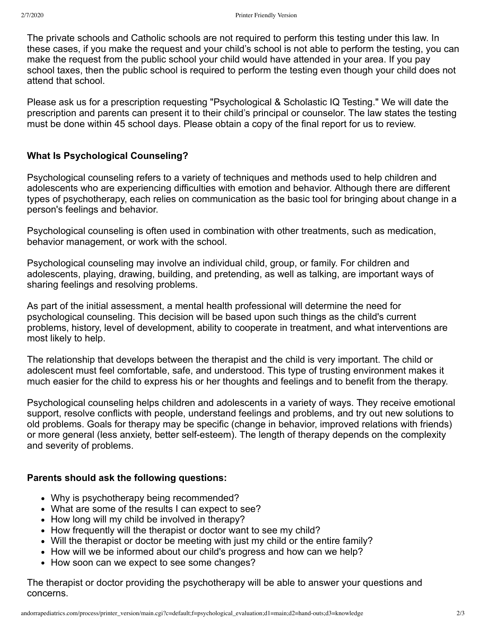The private schools and Catholic schools are not required to perform this testing under this law. In these cases, if you make the request and your child's school is not able to perform the testing, you can make the request from the public school your child would have attended in your area. If you pay school taxes, then the public school is required to perform the testing even though your child does not attend that school.

Please ask us for a prescription requesting "Psychological & Scholastic IQ Testing." We will date the prescription and parents can present it to their child's principal or counselor. The law states the testing must be done within 45 school days. Please obtain a copy of the final report for us to review.

### **What Is Psychological Counseling?**

Psychological counseling refers to a variety of techniques and methods used to help children and adolescents who are experiencing difficulties with emotion and behavior. Although there are different types of psychotherapy, each relies on communication as the basic tool for bringing about change in a person's feelings and behavior.

Psychological counseling is often used in combination with other treatments, such as medication, behavior management, or work with the school.

Psychological counseling may involve an individual child, group, or family. For children and adolescents, playing, drawing, building, and pretending, as well as talking, are important ways of sharing feelings and resolving problems.

As part of the initial assessment, a mental health professional will determine the need for psychological counseling. This decision will be based upon such things as the child's current problems, history, level of development, ability to cooperate in treatment, and what interventions are most likely to help.

The relationship that develops between the therapist and the child is very important. The child or adolescent must feel comfortable, safe, and understood. This type of trusting environment makes it much easier for the child to express his or her thoughts and feelings and to benefit from the therapy.

Psychological counseling helps children and adolescents in a variety of ways. They receive emotional support, resolve conflicts with people, understand feelings and problems, and try out new solutions to old problems. Goals for therapy may be specific (change in behavior, improved relations with friends) or more general (less anxiety, better self-esteem). The length of therapy depends on the complexity and severity of problems.

#### **Parents should ask the following questions:**

- Why is psychotherapy being recommended?
- What are some of the results I can expect to see?
- How long will my child be involved in therapy?
- How frequently will the therapist or doctor want to see my child?
- Will the therapist or doctor be meeting with just my child or the entire family?
- How will we be informed about our child's progress and how can we help?
- How soon can we expect to see some changes?

The therapist or doctor providing the psychotherapy will be able to answer your questions and concerns.